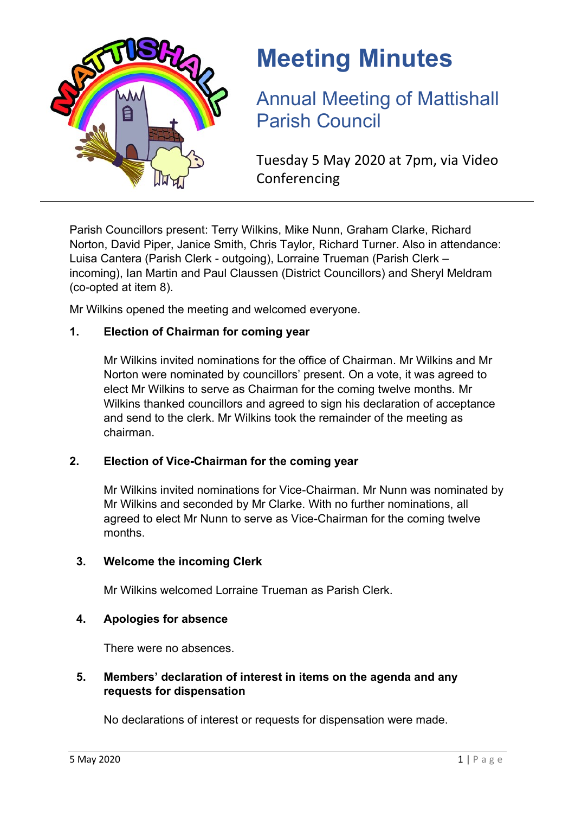

# **Meeting Minutes**

Annual Meeting of Mattishall Parish Council

Tuesday 5 May 2020 at 7pm, via Video Conferencing

Parish Councillors present: Terry Wilkins, Mike Nunn, Graham Clarke, Richard Norton, David Piper, Janice Smith, Chris Taylor, Richard Turner. Also in attendance: Luisa Cantera (Parish Clerk - outgoing), Lorraine Trueman (Parish Clerk – incoming), Ian Martin and Paul Claussen (District Councillors) and Sheryl Meldram (co-opted at item 8).

Mr Wilkins opened the meeting and welcomed everyone.

## **1. Election of Chairman for coming year**

Mr Wilkins invited nominations for the office of Chairman. Mr Wilkins and Mr Norton were nominated by councillors' present. On a vote, it was agreed to elect Mr Wilkins to serve as Chairman for the coming twelve months. Mr Wilkins thanked councillors and agreed to sign his declaration of acceptance and send to the clerk. Mr Wilkins took the remainder of the meeting as chairman.

## **2. Election of Vice-Chairman for the coming year**

Mr Wilkins invited nominations for Vice-Chairman. Mr Nunn was nominated by Mr Wilkins and seconded by Mr Clarke. With no further nominations, all agreed to elect Mr Nunn to serve as Vice-Chairman for the coming twelve months.

## **3. Welcome the incoming Clerk**

Mr Wilkins welcomed Lorraine Trueman as Parish Clerk.

## **4. Apologies for absence**

There were no absences.

## **5. Members' declaration of interest in items on the agenda and any requests for dispensation**

No declarations of interest or requests for dispensation were made.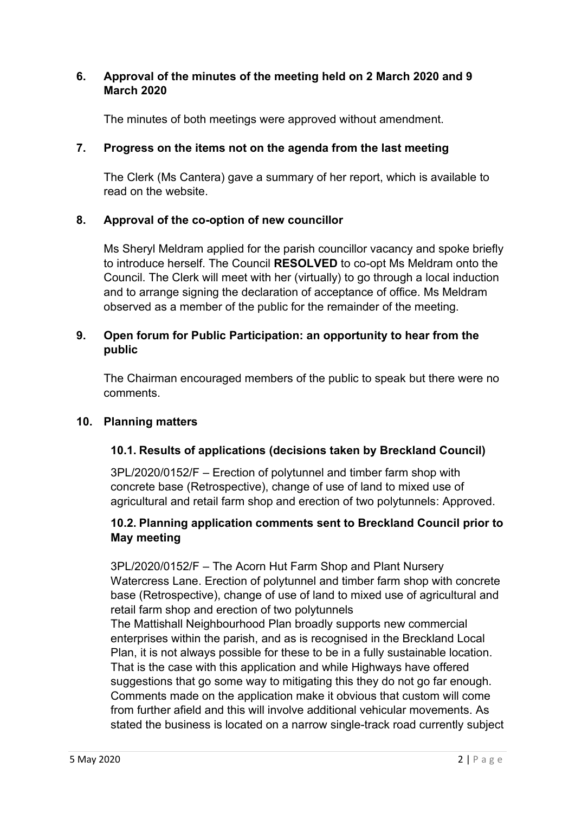## **6. Approval of the minutes of the meeting held on 2 March 2020 and 9 March 2020**

The minutes of both meetings were approved without amendment.

# **7. Progress on the items not on the agenda from the last meeting**

The Clerk (Ms Cantera) gave a summary of her report, which is available to read on the website.

# **8. Approval of the co-option of new councillor**

Ms Sheryl Meldram applied for the parish councillor vacancy and spoke briefly to introduce herself. The Council **RESOLVED** to co-opt Ms Meldram onto the Council. The Clerk will meet with her (virtually) to go through a local induction and to arrange signing the declaration of acceptance of office. Ms Meldram observed as a member of the public for the remainder of the meeting.

## **9. Open forum for Public Participation: an opportunity to hear from the public**

The Chairman encouraged members of the public to speak but there were no comments.

# **10. Planning matters**

# **10.1. Results of applications (decisions taken by Breckland Council)**

3PL/2020/0152/F – Erection of polytunnel and timber farm shop with concrete base (Retrospective), change of use of land to mixed use of agricultural and retail farm shop and erection of two polytunnels: Approved.

# **10.2. Planning application comments sent to Breckland Council prior to May meeting**

3PL/2020/0152/F – The Acorn Hut Farm Shop and Plant Nursery Watercress Lane. Erection of polytunnel and timber farm shop with concrete base (Retrospective), change of use of land to mixed use of agricultural and retail farm shop and erection of two polytunnels

The Mattishall Neighbourhood Plan broadly supports new commercial enterprises within the parish, and as is recognised in the Breckland Local Plan, it is not always possible for these to be in a fully sustainable location. That is the case with this application and while Highways have offered suggestions that go some way to mitigating this they do not go far enough. Comments made on the application make it obvious that custom will come from further afield and this will involve additional vehicular movements. As stated the business is located on a narrow single-track road currently subject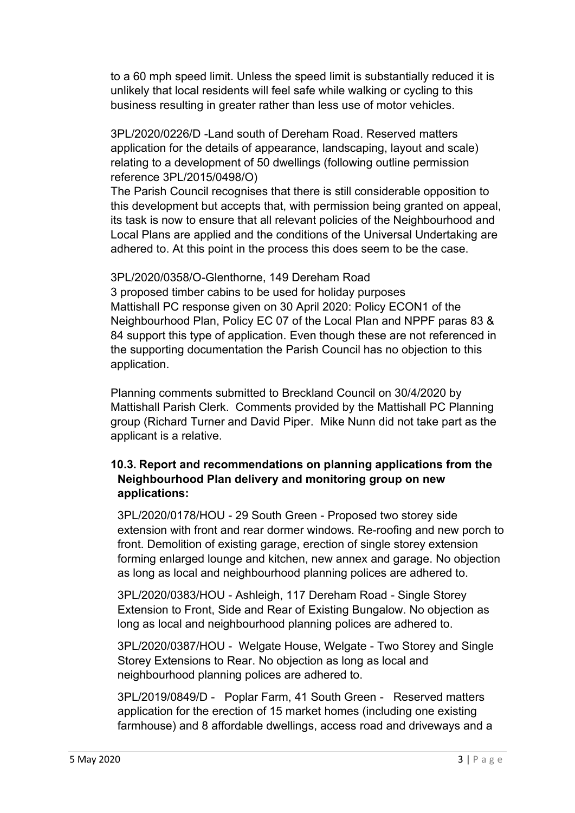to a 60 mph speed limit. Unless the speed limit is substantially reduced it is unlikely that local residents will feel safe while walking or cycling to this business resulting in greater rather than less use of motor vehicles.

3PL/2020/0226/D -Land south of Dereham Road. Reserved matters application for the details of appearance, landscaping, layout and scale) relating to a development of 50 dwellings (following outline permission reference 3PL/2015/0498/O)

The Parish Council recognises that there is still considerable opposition to this development but accepts that, with permission being granted on appeal, its task is now to ensure that all relevant policies of the Neighbourhood and Local Plans are applied and the conditions of the Universal Undertaking are adhered to. At this point in the process this does seem to be the case.

3PL/2020/0358/O-Glenthorne, 149 Dereham Road 3 proposed timber cabins to be used for holiday purposes Mattishall PC response given on 30 April 2020: Policy ECON1 of the Neighbourhood Plan, Policy EC 07 of the Local Plan and NPPF paras 83 & 84 support this type of application. Even though these are not referenced in the supporting documentation the Parish Council has no objection to this application.

Planning comments submitted to Breckland Council on 30/4/2020 by Mattishall Parish Clerk. Comments provided by the Mattishall PC Planning group (Richard Turner and David Piper. Mike Nunn did not take part as the applicant is a relative.

## **10.3. Report and recommendations on planning applications from the Neighbourhood Plan delivery and monitoring group on new applications:**

3PL/2020/0178/HOU - 29 South Green - Proposed two storey side extension with front and rear dormer windows. Re-roofing and new porch to front. Demolition of existing garage, erection of single storey extension forming enlarged lounge and kitchen, new annex and garage. No objection as long as local and neighbourhood planning polices are adhered to.

3PL/2020/0383/HOU - Ashleigh, 117 Dereham Road - Single Storey Extension to Front, Side and Rear of Existing Bungalow. No objection as long as local and neighbourhood planning polices are adhered to.

3PL/2020/0387/HOU - Welgate House, Welgate - Two Storey and Single Storey Extensions to Rear. No objection as long as local and neighbourhood planning polices are adhered to.

3PL/2019/0849/D - Poplar Farm, 41 South Green - Reserved matters application for the erection of 15 market homes (including one existing farmhouse) and 8 affordable dwellings, access road and driveways and a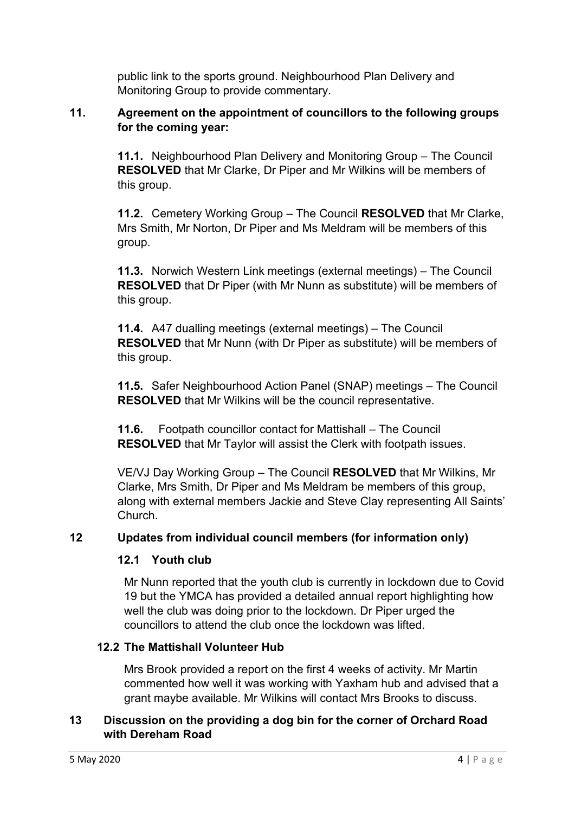public link to the sports ground. Neighbourhood Plan Delivery and Monitoring Group to provide commentary.

## **11. Agreement on the appointment of councillors to the following groups for the coming year:**

**11.1.** Neighbourhood Plan Delivery and Monitoring Group – The Council **RESOLVED** that Mr Clarke, Dr Piper and Mr Wilkins will be members of this group.

**11.2.** Cemetery Working Group – The Council **RESOLVED** that Mr Clarke, Mrs Smith, Mr Norton, Dr Piper and Ms Meldram will be members of this group.

**11.3.** Norwich Western Link meetings (external meetings) – The Council **RESOLVED** that Dr Piper (with Mr Nunn as substitute) will be members of this group.

**11.4.** A47 dualling meetings (external meetings) – The Council **RESOLVED** that Mr Nunn (with Dr Piper as substitute) will be members of this group.

**11.5.** Safer Neighbourhood Action Panel (SNAP) meetings – The Council **RESOLVED** that Mr Wilkins will be the council representative.

**11.6.** Footpath councillor contact for Mattishall – The Council **RESOLVED** that Mr Taylor will assist the Clerk with footpath issues.

VE/VJ Day Working Group – The Council **RESOLVED** that Mr Wilkins, Mr Clarke, Mrs Smith, Dr Piper and Ms Meldram be members of this group, along with external members Jackie and Steve Clay representing All Saints' Church.

# **12 Updates from individual council members (for information only)**

# **12.1 Youth club**

Mr Nunn reported that the youth club is currently in lockdown due to Covid 19 but the YMCA has provided a detailed annual report highlighting how well the club was doing prior to the lockdown. Dr Piper urged the councillors to attend the club once the lockdown was lifted.

# **12.2 The Mattishall Volunteer Hub**

Mrs Brook provided a report on the first 4 weeks of activity. Mr Martin commented how well it was working with Yaxham hub and advised that a grant maybe available. Mr Wilkins will contact Mrs Brooks to discuss.

## **13 Discussion on the providing a dog bin for the corner of Orchard Road with Dereham Road**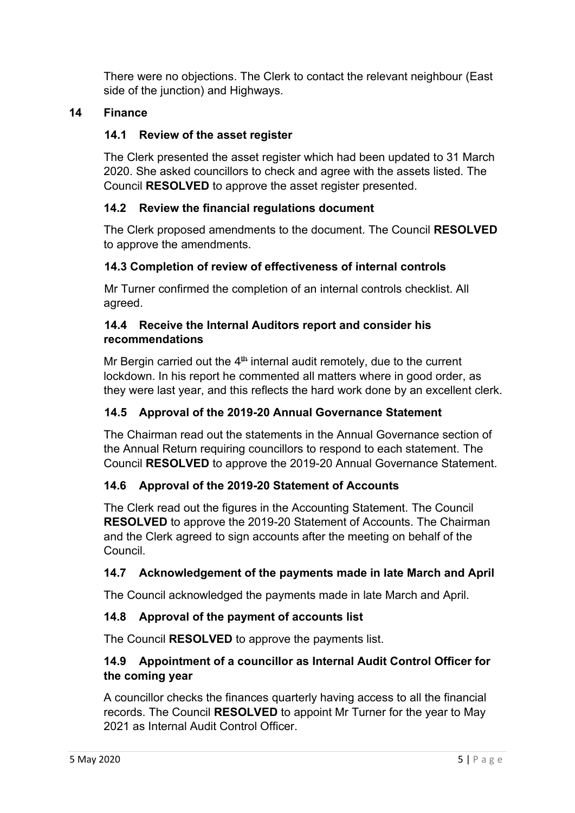There were no objections. The Clerk to contact the relevant neighbour (East side of the junction) and Highways.

## **14 Finance**

## **14.1 Review of the asset register**

The Clerk presented the asset register which had been updated to 31 March 2020. She asked councillors to check and agree with the assets listed. The Council **RESOLVED** to approve the asset register presented.

## **14.2 Review the financial regulations document**

The Clerk proposed amendments to the document. The Council **RESOLVED** to approve the amendments.

## **14.3 Completion of review of effectiveness of internal controls**

Mr Turner confirmed the completion of an internal controls checklist. All agreed.

## **14.4 Receive the Internal Auditors report and consider his recommendations**

Mr Bergin carried out the  $4<sup>th</sup>$  internal audit remotely, due to the current lockdown. In his report he commented all matters where in good order, as they were last year, and this reflects the hard work done by an excellent clerk.

## **14.5 Approval of the 2019-20 Annual Governance Statement**

The Chairman read out the statements in the Annual Governance section of the Annual Return requiring councillors to respond to each statement. The Council **RESOLVED** to approve the 2019-20 Annual Governance Statement.

## **14.6 Approval of the 2019-20 Statement of Accounts**

The Clerk read out the figures in the Accounting Statement. The Council **RESOLVED** to approve the 2019-20 Statement of Accounts. The Chairman and the Clerk agreed to sign accounts after the meeting on behalf of the Council.

## **14.7 Acknowledgement of the payments made in late March and April**

The Council acknowledged the payments made in late March and April.

## **14.8 Approval of the payment of accounts list**

The Council **RESOLVED** to approve the payments list.

## **14.9 Appointment of a councillor as Internal Audit Control Officer for the coming year**

A councillor checks the finances quarterly having access to all the financial records. The Council **RESOLVED** to appoint Mr Turner for the year to May 2021 as Internal Audit Control Officer.